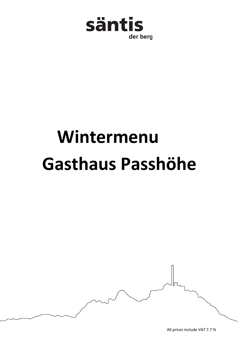

## **Wintermenu Gasthaus Passhöhe**



All prices include VAT 7.7 %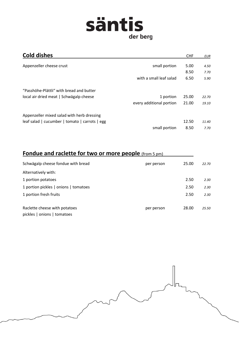## säntis der berg

| <b>Cold dishes</b>                                   | <b>CHF</b> | EUR   |
|------------------------------------------------------|------------|-------|
| Appenzeller cheese crust<br>small portion            | 5.00       | 4.50  |
|                                                      | 8.50       | 7.70  |
| with a small leaf salad                              | 6.50       | 5.90  |
| "Passhöhe-Plättli" with bread and butter             |            |       |
| local air dried meat   Schwägalp cheese<br>1 portion | 25.00      | 22.70 |
| every additional portion                             | 21.00      | 19.10 |
| Appenzeller mixed salad with herb dressing           |            |       |
| leaf salad   cucumber   tomato   carrots   egg       | 12.50      | 11.40 |
| small portion                                        | 8.50       | 7.70  |

## **Fondue and raclette for two or more people** (from 5 pm)

| Schwägalp cheese fondue with bread    | per person | 25.00 | 22.70 |
|---------------------------------------|------------|-------|-------|
| Alternatively with:                   |            |       |       |
| 1 portion potatoes                    |            | 2.50  | 2.30  |
| 1 portion pickles   onions   tomatoes |            | 2.50  | 2.30  |
| 1 portion fresh fruits                |            | 2.50  | 2.30  |
|                                       |            |       |       |
| Raclette cheese with potatoes         | per person | 28.00 | 25.50 |
| pickles   onions   tomatoes           |            |       |       |